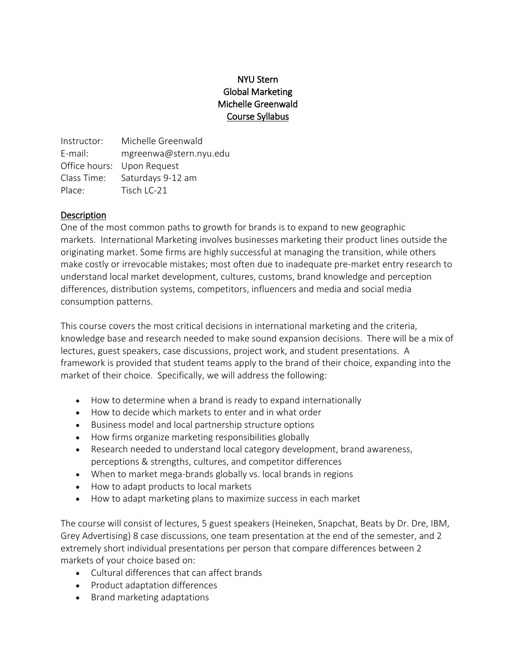# NYU Stern Global Marketing Michelle Greenwald Course Syllabus

Instructor: Michelle Greenwald E-mail: mgreenwa@stern.nyu.edu Office hours: Upon Request Class Time: Saturdays 9-12 am Place: Tisch LC-21

#### **Description**

One of the most common paths to growth for brands is to expand to new geographic markets. International Marketing involves businesses marketing their product lines outside the originating market. Some firms are highly successful at managing the transition, while others make costly or irrevocable mistakes; most often due to inadequate pre-market entry research to understand local market development, cultures, customs, brand knowledge and perception differences, distribution systems, competitors, influencers and media and social media consumption patterns.

This course covers the most critical decisions in international marketing and the criteria, knowledge base and research needed to make sound expansion decisions. There will be a mix of lectures, guest speakers, case discussions, project work, and student presentations. A framework is provided that student teams apply to the brand of their choice, expanding into the market of their choice. Specifically, we will address the following:

- How to determine when a brand is ready to expand internationally
- How to decide which markets to enter and in what order
- Business model and local partnership structure options
- How firms organize marketing responsibilities globally
- Research needed to understand local category development, brand awareness, perceptions & strengths, cultures, and competitor differences
- When to market mega-brands globally vs. local brands in regions
- How to adapt products to local markets
- How to adapt marketing plans to maximize success in each market

The course will consist of lectures, 5 guest speakers (Heineken, Snapchat, Beats by Dr. Dre, IBM, Grey Advertising) 8 case discussions, one team presentation at the end of the semester, and 2 extremely short individual presentations per person that compare differences between 2 markets of your choice based on:

- Cultural differences that can affect brands
- Product adaptation differences
- Brand marketing adaptations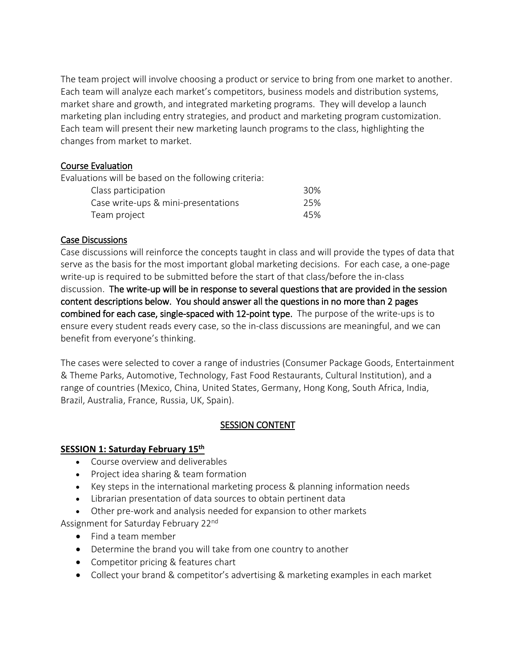The team project will involve choosing a product or service to bring from one market to another. Each team will analyze each market's competitors, business models and distribution systems, market share and growth, and integrated marketing programs. They will develop a launch marketing plan including entry strategies, and product and marketing program customization. Each team will present their new marketing launch programs to the class, highlighting the changes from market to market.

#### Course Evaluation

Evaluations will be based on the following criteria:

| Class participation                 | 30% |
|-------------------------------------|-----|
| Case write-ups & mini-presentations | 25% |
| Team project                        | 45% |

#### Case Discussions

Case discussions will reinforce the concepts taught in class and will provide the types of data that serve as the basis for the most important global marketing decisions. For each case, a one-page write-up is required to be submitted before the start of that class/before the in-class discussion. The write-up will be in response to several questions that are provided in the session content descriptions below. You should answer all the questions in no more than 2 pages combined for each case, single-spaced with 12-point type. The purpose of the write-ups is to ensure every student reads every case, so the in-class discussions are meaningful, and we can benefit from everyone's thinking.

The cases were selected to cover a range of industries (Consumer Package Goods, Entertainment & Theme Parks, Automotive, Technology, Fast Food Restaurants, Cultural Institution), and a range of countries (Mexico, China, United States, Germany, Hong Kong, South Africa, India, Brazil, Australia, France, Russia, UK, Spain).

#### SESSION CONTENT

#### **SESSION 1: Saturday February 15th**

- Course overview and deliverables
- Project idea sharing & team formation
- Key steps in the international marketing process & planning information needs
- Librarian presentation of data sources to obtain pertinent data
- Other pre-work and analysis needed for expansion to other markets

Assignment for Saturday February 22<sup>nd</sup>

- Find a team member
- Determine the brand you will take from one country to another
- Competitor pricing & features chart
- Collect your brand & competitor's advertising & marketing examples in each market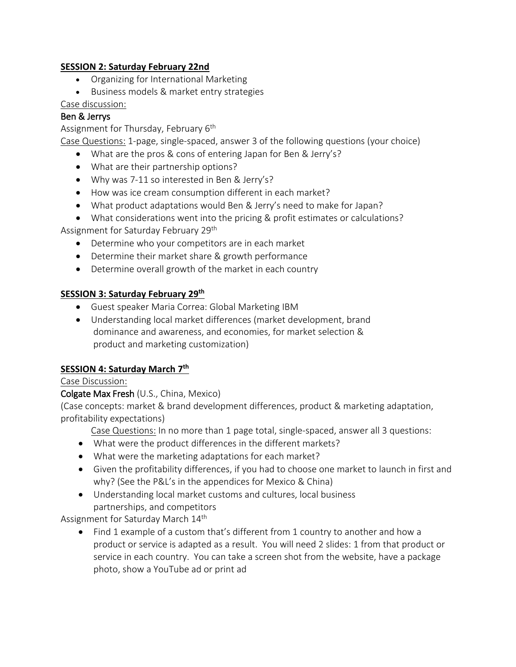#### **SESSION 2: Saturday February 22nd**

- Organizing for International Marketing
- Business models & market entry strategies

#### Case discussion:

### Ben & Jerrys

Assignment for Thursday, February 6<sup>th</sup>

Case Questions: 1-page, single-spaced, answer 3 of the following questions (your choice)

- What are the pros & cons of entering Japan for Ben & Jerry's?
- What are their partnership options?
- Why was 7-11 so interested in Ben & Jerry's?
- How was ice cream consumption different in each market?
- What product adaptations would Ben & Jerry's need to make for Japan?
- What considerations went into the pricing & profit estimates or calculations? Assignment for Saturday February 29th
	- Determine who your competitors are in each market
	- Determine their market share & growth performance
	- Determine overall growth of the market in each country

#### **SESSION 3: Saturday February 29th**

- Guest speaker Maria Correa: Global Marketing IBM
- Understanding local market differences (market development, brand dominance and awareness, and economies, for market selection & product and marketing customization)

#### **SESSION 4: Saturday March 7th**

#### Case Discussion:

#### Colgate Max Fresh (U.S., China, Mexico)

(Case concepts: market & brand development differences, product & marketing adaptation, profitability expectations)

Case Questions: In no more than 1 page total, single-spaced, answer all 3 questions:

- What were the product differences in the different markets?
- What were the marketing adaptations for each market?
- Given the profitability differences, if you had to choose one market to launch in first and why? (See the P&L's in the appendices for Mexico & China)
- Understanding local market customs and cultures, local business partnerships, and competitors

Assignment for Saturday March 14th

• Find 1 example of a custom that's different from 1 country to another and how a product or service is adapted as a result. You will need 2 slides: 1 from that product or service in each country. You can take a screen shot from the website, have a package photo, show a YouTube ad or print ad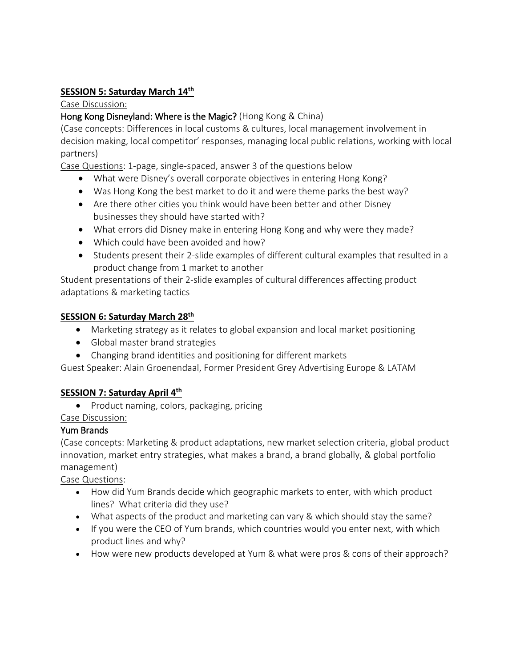### **SESSION 5: Saturday March 14th**

#### Case Discussion:

### Hong Kong Disneyland: Where is the Magic? (Hong Kong & China)

(Case concepts: Differences in local customs & cultures, local management involvement in decision making, local competitor' responses, managing local public relations, working with local partners)

Case Questions: 1-page, single-spaced, answer 3 of the questions below

- What were Disney's overall corporate objectives in entering Hong Kong?
- Was Hong Kong the best market to do it and were theme parks the best way?
- Are there other cities you think would have been better and other Disney businesses they should have started with?
- What errors did Disney make in entering Hong Kong and why were they made?
- Which could have been avoided and how?
- Students present their 2-slide examples of different cultural examples that resulted in a product change from 1 market to another

Student presentations of their 2-slide examples of cultural differences affecting product adaptations & marketing tactics

### **SESSION 6: Saturday March 28th**

- Marketing strategy as it relates to global expansion and local market positioning
- Global master brand strategies
- Changing brand identities and positioning for different markets

Guest Speaker: Alain Groenendaal, Former President Grey Advertising Europe & LATAM

# **SESSION 7: Saturday April 4th**

• Product naming, colors, packaging, pricing

Case Discussion:

#### Yum Brands

(Case concepts: Marketing & product adaptations, new market selection criteria, global product innovation, market entry strategies, what makes a brand, a brand globally, & global portfolio management)

Case Questions:

- How did Yum Brands decide which geographic markets to enter, with which product lines? What criteria did they use?
- What aspects of the product and marketing can vary & which should stay the same?
- If you were the CEO of Yum brands, which countries would you enter next, with which product lines and why?
- How were new products developed at Yum & what were pros & cons of their approach?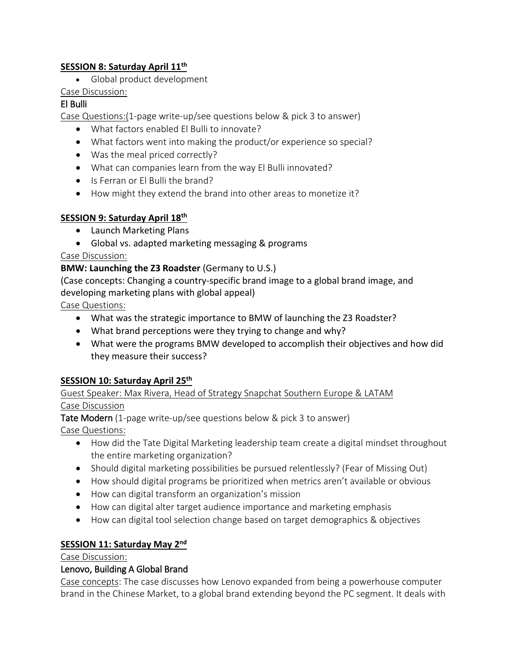### **SESSION 8: Saturday April 11th**

• Global product development

# Case Discussion:

# El Bulli

Case Questions:(1-page write-up/see questions below & pick 3 to answer)

- What factors enabled El Bulli to innovate?
- What factors went into making the product/or experience so special?
- Was the meal priced correctly?
- What can companies learn from the way El Bulli innovated?
- Is Ferran or El Bulli the brand?
- How might they extend the brand into other areas to monetize it?

# **SESSION 9: Saturday April 18th**

- Launch Marketing Plans
- Global vs. adapted marketing messaging & programs

# Case Discussion:

# **BMW: Launching the Z3 Roadster** (Germany to U.S.)

(Case concepts: Changing a country-specific brand image to a global brand image, and developing marketing plans with global appeal)

Case Questions:

- What was the strategic importance to BMW of launching the Z3 Roadster?
- What brand perceptions were they trying to change and why?
- What were the programs BMW developed to accomplish their objectives and how did they measure their success?

# **SESSION 10: Saturday April 25th**

### Guest Speaker: Max Rivera, Head of Strategy Snapchat Southern Europe & LATAM Case Discussion

Tate Modern (1-page write-up/see questions below & pick 3 to answer) Case Questions:

- How did the Tate Digital Marketing leadership team create a digital mindset throughout the entire marketing organization?
- Should digital marketing possibilities be pursued relentlessly? (Fear of Missing Out)
- How should digital programs be prioritized when metrics aren't available or obvious
- How can digital transform an organization's mission
- How can digital alter target audience importance and marketing emphasis
- How can digital tool selection change based on target demographics & objectives

# **SESSION 11: Saturday May 2nd**

# Case Discussion:

# Lenovo, Building A Global Brand

Case concepts: The case discusses how Lenovo expanded from being a powerhouse computer brand in the Chinese Market, to a global brand extending beyond the PC segment. It deals with